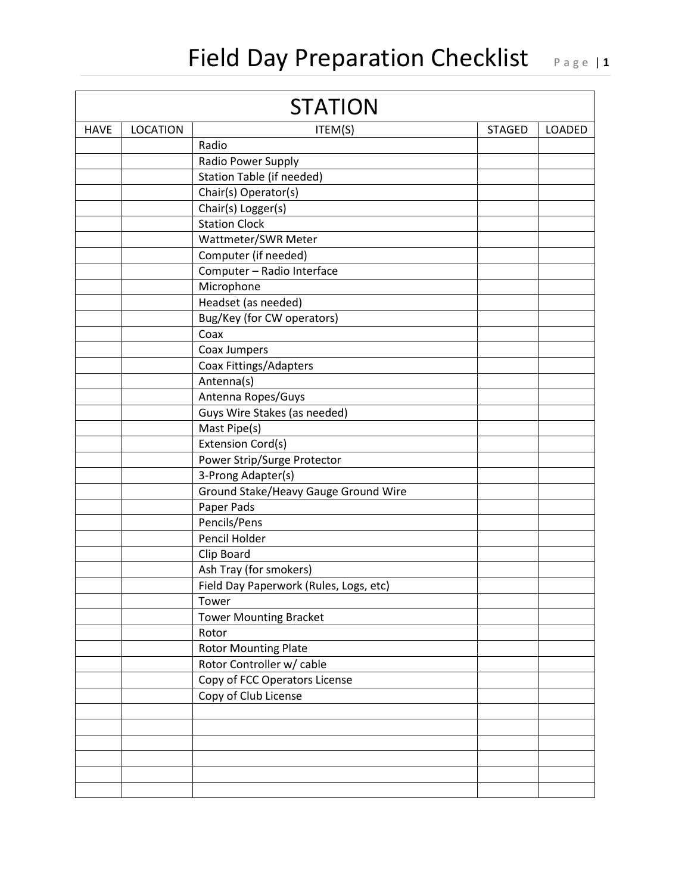## Field Day Preparation Checklist Page 11

| <b>STATION</b> |                 |                                        |               |        |  |  |  |
|----------------|-----------------|----------------------------------------|---------------|--------|--|--|--|
| <b>HAVE</b>    | <b>LOCATION</b> | ITEM(S)                                | <b>STAGED</b> | LOADED |  |  |  |
|                |                 | Radio                                  |               |        |  |  |  |
|                |                 | Radio Power Supply                     |               |        |  |  |  |
|                |                 | Station Table (if needed)              |               |        |  |  |  |
|                |                 | Chair(s) Operator(s)                   |               |        |  |  |  |
|                |                 | Chair(s) Logger(s)                     |               |        |  |  |  |
|                |                 | <b>Station Clock</b>                   |               |        |  |  |  |
|                |                 | Wattmeter/SWR Meter                    |               |        |  |  |  |
|                |                 | Computer (if needed)                   |               |        |  |  |  |
|                |                 | Computer - Radio Interface             |               |        |  |  |  |
|                |                 | Microphone                             |               |        |  |  |  |
|                |                 | Headset (as needed)                    |               |        |  |  |  |
|                |                 | Bug/Key (for CW operators)             |               |        |  |  |  |
|                |                 | Coax                                   |               |        |  |  |  |
|                |                 | Coax Jumpers                           |               |        |  |  |  |
|                |                 | Coax Fittings/Adapters                 |               |        |  |  |  |
|                |                 | Antenna(s)                             |               |        |  |  |  |
|                |                 | Antenna Ropes/Guys                     |               |        |  |  |  |
|                |                 | Guys Wire Stakes (as needed)           |               |        |  |  |  |
|                |                 | Mast Pipe(s)                           |               |        |  |  |  |
|                |                 | <b>Extension Cord(s)</b>               |               |        |  |  |  |
|                |                 | Power Strip/Surge Protector            |               |        |  |  |  |
|                |                 | 3-Prong Adapter(s)                     |               |        |  |  |  |
|                |                 | Ground Stake/Heavy Gauge Ground Wire   |               |        |  |  |  |
|                |                 | Paper Pads                             |               |        |  |  |  |
|                |                 | Pencils/Pens                           |               |        |  |  |  |
|                |                 | Pencil Holder                          |               |        |  |  |  |
|                |                 | Clip Board                             |               |        |  |  |  |
|                |                 | Ash Tray (for smokers)                 |               |        |  |  |  |
|                |                 | Field Day Paperwork (Rules, Logs, etc) |               |        |  |  |  |
|                |                 | Tower                                  |               |        |  |  |  |
|                |                 | <b>Tower Mounting Bracket</b>          |               |        |  |  |  |
|                |                 | Rotor                                  |               |        |  |  |  |
|                |                 | <b>Rotor Mounting Plate</b>            |               |        |  |  |  |
|                |                 | Rotor Controller w/ cable              |               |        |  |  |  |
|                |                 | Copy of FCC Operators License          |               |        |  |  |  |
|                |                 | Copy of Club License                   |               |        |  |  |  |
|                |                 |                                        |               |        |  |  |  |
|                |                 |                                        |               |        |  |  |  |
|                |                 |                                        |               |        |  |  |  |
|                |                 |                                        |               |        |  |  |  |
|                |                 |                                        |               |        |  |  |  |
|                |                 |                                        |               |        |  |  |  |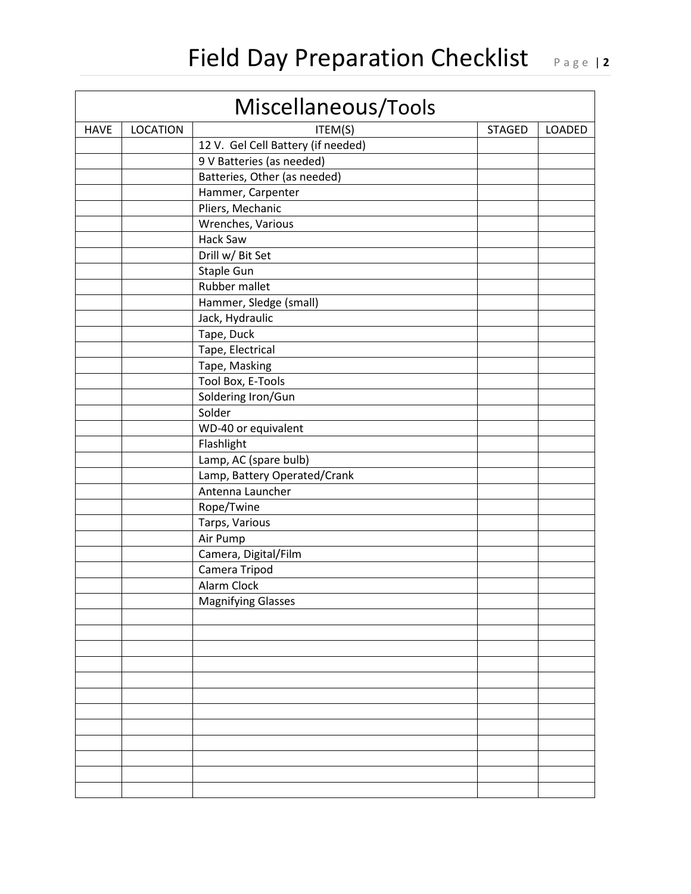| Miscellaneous/Tools |                 |                                    |               |        |  |  |  |  |
|---------------------|-----------------|------------------------------------|---------------|--------|--|--|--|--|
| <b>HAVE</b>         | <b>LOCATION</b> | ITEM(S)                            | <b>STAGED</b> | LOADED |  |  |  |  |
|                     |                 | 12 V. Gel Cell Battery (if needed) |               |        |  |  |  |  |
|                     |                 | 9 V Batteries (as needed)          |               |        |  |  |  |  |
|                     |                 | Batteries, Other (as needed)       |               |        |  |  |  |  |
|                     |                 | Hammer, Carpenter                  |               |        |  |  |  |  |
|                     |                 | Pliers, Mechanic                   |               |        |  |  |  |  |
|                     |                 | Wrenches, Various                  |               |        |  |  |  |  |
|                     |                 | Hack Saw                           |               |        |  |  |  |  |
|                     |                 | Drill w/ Bit Set                   |               |        |  |  |  |  |
|                     |                 | Staple Gun                         |               |        |  |  |  |  |
|                     |                 | Rubber mallet                      |               |        |  |  |  |  |
|                     |                 | Hammer, Sledge (small)             |               |        |  |  |  |  |
|                     |                 | Jack, Hydraulic                    |               |        |  |  |  |  |
|                     |                 | Tape, Duck                         |               |        |  |  |  |  |
|                     |                 | Tape, Electrical                   |               |        |  |  |  |  |
|                     |                 | Tape, Masking                      |               |        |  |  |  |  |
|                     |                 | Tool Box, E-Tools                  |               |        |  |  |  |  |
|                     |                 | Soldering Iron/Gun                 |               |        |  |  |  |  |
|                     |                 | Solder                             |               |        |  |  |  |  |
|                     |                 | WD-40 or equivalent                |               |        |  |  |  |  |
|                     |                 | Flashlight                         |               |        |  |  |  |  |
|                     |                 | Lamp, AC (spare bulb)              |               |        |  |  |  |  |
|                     |                 | Lamp, Battery Operated/Crank       |               |        |  |  |  |  |
|                     |                 | Antenna Launcher                   |               |        |  |  |  |  |
|                     |                 | Rope/Twine                         |               |        |  |  |  |  |
|                     |                 | Tarps, Various                     |               |        |  |  |  |  |
|                     |                 | Air Pump                           |               |        |  |  |  |  |
|                     |                 | Camera, Digital/Film               |               |        |  |  |  |  |
|                     |                 | Camera Tripod                      |               |        |  |  |  |  |
|                     |                 | <b>Alarm Clock</b>                 |               |        |  |  |  |  |
|                     |                 | <b>Magnifying Glasses</b>          |               |        |  |  |  |  |
|                     |                 |                                    |               |        |  |  |  |  |
|                     |                 |                                    |               |        |  |  |  |  |
|                     |                 |                                    |               |        |  |  |  |  |
|                     |                 |                                    |               |        |  |  |  |  |
|                     |                 |                                    |               |        |  |  |  |  |
|                     |                 |                                    |               |        |  |  |  |  |
|                     |                 |                                    |               |        |  |  |  |  |
|                     |                 |                                    |               |        |  |  |  |  |
|                     |                 |                                    |               |        |  |  |  |  |
|                     |                 |                                    |               |        |  |  |  |  |
|                     |                 |                                    |               |        |  |  |  |  |
|                     |                 |                                    |               |        |  |  |  |  |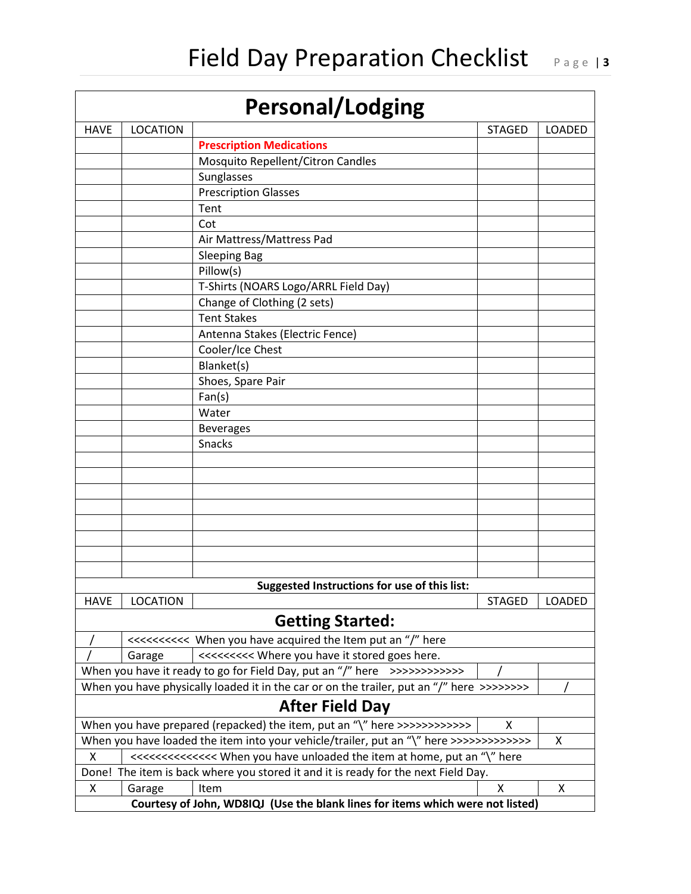| <b>Personal/Lodging</b>                                                                      |                                                                                |                                                                                           |                |               |  |  |  |
|----------------------------------------------------------------------------------------------|--------------------------------------------------------------------------------|-------------------------------------------------------------------------------------------|----------------|---------------|--|--|--|
| <b>HAVE</b>                                                                                  | <b>LOCATION</b>                                                                |                                                                                           | <b>STAGED</b>  | <b>LOADED</b> |  |  |  |
|                                                                                              |                                                                                | <b>Prescription Medications</b>                                                           |                |               |  |  |  |
|                                                                                              |                                                                                | Mosquito Repellent/Citron Candles                                                         |                |               |  |  |  |
|                                                                                              |                                                                                | Sunglasses                                                                                |                |               |  |  |  |
|                                                                                              |                                                                                | <b>Prescription Glasses</b>                                                               |                |               |  |  |  |
|                                                                                              |                                                                                | Tent                                                                                      |                |               |  |  |  |
|                                                                                              |                                                                                | Cot                                                                                       |                |               |  |  |  |
|                                                                                              |                                                                                | Air Mattress/Mattress Pad                                                                 |                |               |  |  |  |
|                                                                                              |                                                                                | <b>Sleeping Bag</b>                                                                       |                |               |  |  |  |
|                                                                                              |                                                                                | Pillow(s)                                                                                 |                |               |  |  |  |
|                                                                                              |                                                                                | T-Shirts (NOARS Logo/ARRL Field Day)                                                      |                |               |  |  |  |
|                                                                                              |                                                                                | Change of Clothing (2 sets)                                                               |                |               |  |  |  |
|                                                                                              |                                                                                | <b>Tent Stakes</b>                                                                        |                |               |  |  |  |
|                                                                                              |                                                                                | Antenna Stakes (Electric Fence)                                                           |                |               |  |  |  |
|                                                                                              |                                                                                | Cooler/Ice Chest                                                                          |                |               |  |  |  |
|                                                                                              |                                                                                | Blanket(s)                                                                                |                |               |  |  |  |
|                                                                                              |                                                                                | Shoes, Spare Pair                                                                         |                |               |  |  |  |
|                                                                                              |                                                                                | Fan(s)                                                                                    |                |               |  |  |  |
|                                                                                              |                                                                                | Water                                                                                     |                |               |  |  |  |
|                                                                                              |                                                                                | <b>Beverages</b>                                                                          |                |               |  |  |  |
|                                                                                              |                                                                                | Snacks                                                                                    |                |               |  |  |  |
|                                                                                              |                                                                                |                                                                                           |                |               |  |  |  |
|                                                                                              |                                                                                |                                                                                           |                |               |  |  |  |
|                                                                                              |                                                                                |                                                                                           |                |               |  |  |  |
|                                                                                              |                                                                                |                                                                                           |                |               |  |  |  |
|                                                                                              |                                                                                |                                                                                           |                |               |  |  |  |
|                                                                                              |                                                                                |                                                                                           |                |               |  |  |  |
|                                                                                              |                                                                                |                                                                                           |                |               |  |  |  |
|                                                                                              |                                                                                |                                                                                           |                |               |  |  |  |
|                                                                                              |                                                                                | Suggested Instructions for use of this list:                                              |                |               |  |  |  |
| <b>HAVE</b>                                                                                  | <b>LOCATION</b>                                                                |                                                                                           | <b>STAGED</b>  | <b>LOADED</b> |  |  |  |
|                                                                                              |                                                                                | <b>Getting Started:</b>                                                                   |                |               |  |  |  |
|                                                                                              |                                                                                |                                                                                           |                |               |  |  |  |
|                                                                                              | Garage                                                                         | <<<<<<<< Where you have it stored goes here.                                              |                |               |  |  |  |
|                                                                                              |                                                                                | When you have it ready to go for Field Day, put an "/" here >>>>>>>>>>>>>                 |                |               |  |  |  |
|                                                                                              |                                                                                | When you have physically loaded it in the car or on the trailer, put an "/" here >>>>>>>> |                |               |  |  |  |
| <b>After Field Day</b>                                                                       |                                                                                |                                                                                           |                |               |  |  |  |
|                                                                                              | When you have prepared (repacked) the item, put an "\" here >>>>>>>>>>>>><br>X |                                                                                           |                |               |  |  |  |
| When you have loaded the item into your vehicle/trailer, put an "\" here >>>>>>>>>>>>>><br>X |                                                                                |                                                                                           |                |               |  |  |  |
| X                                                                                            |                                                                                |                                                                                           |                |               |  |  |  |
| Done! The item is back where you stored it and it is ready for the next Field Day.           |                                                                                |                                                                                           |                |               |  |  |  |
| Χ                                                                                            | Garage                                                                         | Item                                                                                      | $\pmb{\times}$ | X             |  |  |  |
|                                                                                              |                                                                                | Courtesy of John, WD8IQJ (Use the blank lines for items which were not listed)            |                |               |  |  |  |